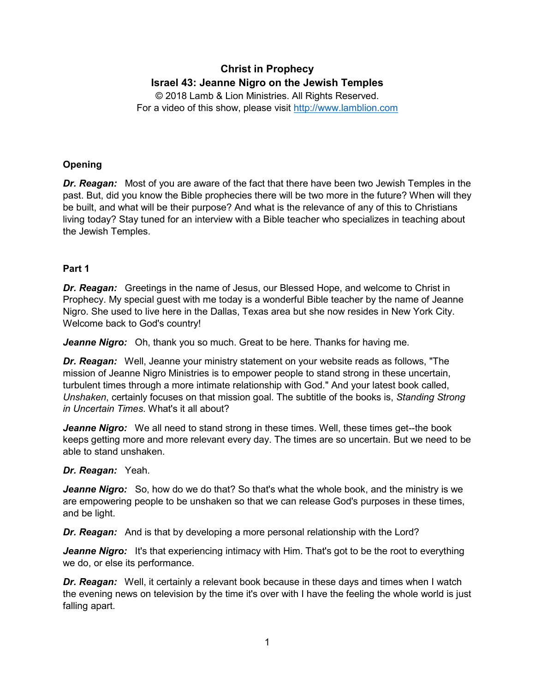# **Christ in Prophecy Israel 43: Jeanne Nigro on the Jewish Temples**

© 2018 Lamb & Lion Ministries. All Rights Reserved. For a video of this show, please visit [http://www.lamblion.com](http://www.lamblion.com/)

## **Opening**

*Dr. Reagan:* Most of you are aware of the fact that there have been two Jewish Temples in the past. But, did you know the Bible prophecies there will be two more in the future? When will they be built, and what will be their purpose? And what is the relevance of any of this to Christians living today? Stay tuned for an interview with a Bible teacher who specializes in teaching about the Jewish Temples.

#### **Part 1**

*Dr. Reagan:* Greetings in the name of Jesus, our Blessed Hope, and welcome to Christ in Prophecy. My special guest with me today is a wonderful Bible teacher by the name of Jeanne Nigro. She used to live here in the Dallas, Texas area but she now resides in New York City. Welcome back to God's country!

*Jeanne Nigro:* Oh, thank you so much. Great to be here. Thanks for having me.

*Dr. Reagan:* Well, Jeanne your ministry statement on your website reads as follows, "The mission of Jeanne Nigro Ministries is to empower people to stand strong in these uncertain, turbulent times through a more intimate relationship with God." And your latest book called, *Unshaken*, certainly focuses on that mission goal. The subtitle of the books is, *Standing Strong in Uncertain Times*. What's it all about?

*Jeanne Nigro:* We all need to stand strong in these times. Well, these times get--the book keeps getting more and more relevant every day. The times are so uncertain. But we need to be able to stand unshaken.

#### *Dr. Reagan:* Yeah.

**Jeanne Nigro:** So, how do we do that? So that's what the whole book, and the ministry is we are empowering people to be unshaken so that we can release God's purposes in these times, and be light.

*Dr. Reagan:* And is that by developing a more personal relationship with the Lord?

**Jeanne Nigro:** It's that experiencing intimacy with Him. That's got to be the root to everything we do, or else its performance.

*Dr. Reagan:* Well, it certainly a relevant book because in these days and times when I watch the evening news on television by the time it's over with I have the feeling the whole world is just falling apart.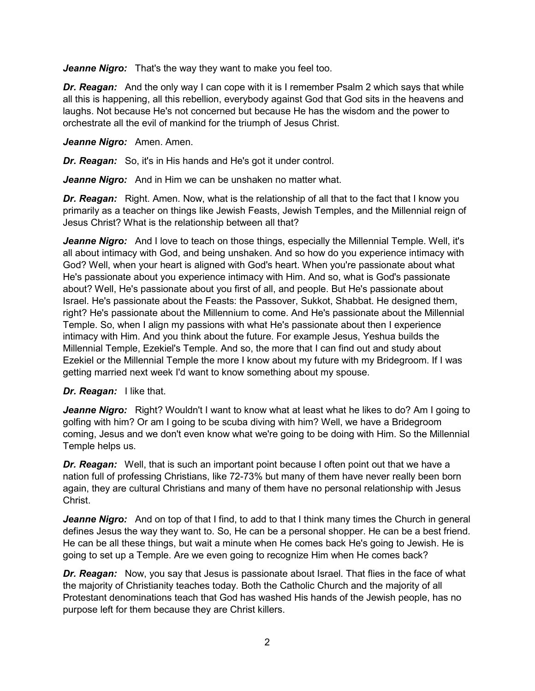*Jeanne Nigro:* That's the way they want to make you feel too.

*Dr. Reagan:* And the only way I can cope with it is I remember Psalm 2 which says that while all this is happening, all this rebellion, everybody against God that God sits in the heavens and laughs. Not because He's not concerned but because He has the wisdom and the power to orchestrate all the evil of mankind for the triumph of Jesus Christ.

#### *Jeanne Nigro:* Amen. Amen.

*Dr. Reagan:* So, it's in His hands and He's got it under control.

*Jeanne Nigro:* And in Him we can be unshaken no matter what.

**Dr. Reagan:** Right. Amen. Now, what is the relationship of all that to the fact that I know you primarily as a teacher on things like Jewish Feasts, Jewish Temples, and the Millennial reign of Jesus Christ? What is the relationship between all that?

*Jeanne Nigro:* And I love to teach on those things, especially the Millennial Temple. Well, it's all about intimacy with God, and being unshaken. And so how do you experience intimacy with God? Well, when your heart is aligned with God's heart. When you're passionate about what He's passionate about you experience intimacy with Him. And so, what is God's passionate about? Well, He's passionate about you first of all, and people. But He's passionate about Israel. He's passionate about the Feasts: the Passover, Sukkot, Shabbat. He designed them, right? He's passionate about the Millennium to come. And He's passionate about the Millennial Temple. So, when I align my passions with what He's passionate about then I experience intimacy with Him. And you think about the future. For example Jesus, Yeshua builds the Millennial Temple, Ezekiel's Temple. And so, the more that I can find out and study about Ezekiel or the Millennial Temple the more I know about my future with my Bridegroom. If I was getting married next week I'd want to know something about my spouse.

## *Dr. Reagan:* I like that.

*Jeanne Nigro:* Right? Wouldn't I want to know what at least what he likes to do? Am I going to golfing with him? Or am I going to be scuba diving with him? Well, we have a Bridegroom coming, Jesus and we don't even know what we're going to be doing with Him. So the Millennial Temple helps us.

*Dr. Reagan:* Well, that is such an important point because I often point out that we have a nation full of professing Christians, like 72-73% but many of them have never really been born again, they are cultural Christians and many of them have no personal relationship with Jesus Christ.

*Jeanne Nigro:* And on top of that I find, to add to that I think many times the Church in general defines Jesus the way they want to. So, He can be a personal shopper. He can be a best friend. He can be all these things, but wait a minute when He comes back He's going to Jewish. He is going to set up a Temple. Are we even going to recognize Him when He comes back?

*Dr. Reagan:* Now, you say that Jesus is passionate about Israel. That flies in the face of what the majority of Christianity teaches today. Both the Catholic Church and the majority of all Protestant denominations teach that God has washed His hands of the Jewish people, has no purpose left for them because they are Christ killers.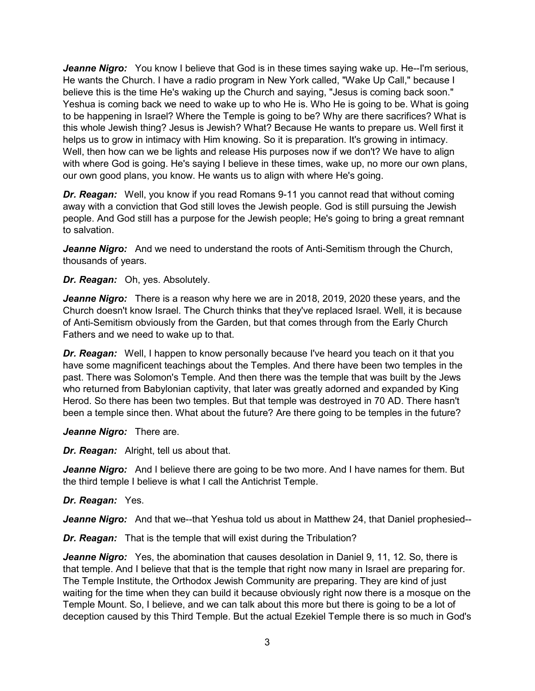*Jeanne Nigro:* You know I believe that God is in these times saying wake up. He--I'm serious, He wants the Church. I have a radio program in New York called, "Wake Up Call," because I believe this is the time He's waking up the Church and saying, "Jesus is coming back soon." Yeshua is coming back we need to wake up to who He is. Who He is going to be. What is going to be happening in Israel? Where the Temple is going to be? Why are there sacrifices? What is this whole Jewish thing? Jesus is Jewish? What? Because He wants to prepare us. Well first it helps us to grow in intimacy with Him knowing. So it is preparation. It's growing in intimacy. Well, then how can we be lights and release His purposes now if we don't? We have to align with where God is going. He's saying I believe in these times, wake up, no more our own plans, our own good plans, you know. He wants us to align with where He's going.

*Dr. Reagan:* Well, you know if you read Romans 9-11 you cannot read that without coming away with a conviction that God still loves the Jewish people. God is still pursuing the Jewish people. And God still has a purpose for the Jewish people; He's going to bring a great remnant to salvation.

*Jeanne Nigro:* And we need to understand the roots of Anti-Semitism through the Church, thousands of years.

*Dr. Reagan:* Oh, yes. Absolutely.

*Jeanne Nigro:* There is a reason why here we are in 2018, 2019, 2020 these years, and the Church doesn't know Israel. The Church thinks that they've replaced Israel. Well, it is because of Anti-Semitism obviously from the Garden, but that comes through from the Early Church Fathers and we need to wake up to that.

*Dr. Reagan:* Well, I happen to know personally because I've heard you teach on it that you have some magnificent teachings about the Temples. And there have been two temples in the past. There was Solomon's Temple. And then there was the temple that was built by the Jews who returned from Babylonian captivity, that later was greatly adorned and expanded by King Herod. So there has been two temples. But that temple was destroyed in 70 AD. There hasn't been a temple since then. What about the future? Are there going to be temples in the future?

*Jeanne Nigro:* There are.

*Dr. Reagan:* Alright, tell us about that.

**Jeanne Nigro:** And I believe there are going to be two more. And I have names for them. But the third temple I believe is what I call the Antichrist Temple.

#### *Dr. Reagan:* Yes.

*Jeanne Nigro:* And that we--that Yeshua told us about in Matthew 24, that Daniel prophesied--

*Dr. Reagan:* That is the temple that will exist during the Tribulation?

*Jeanne Nigro:* Yes, the abomination that causes desolation in Daniel 9, 11, 12. So, there is that temple. And I believe that that is the temple that right now many in Israel are preparing for. The Temple Institute, the Orthodox Jewish Community are preparing. They are kind of just waiting for the time when they can build it because obviously right now there is a mosque on the Temple Mount. So, I believe, and we can talk about this more but there is going to be a lot of deception caused by this Third Temple. But the actual Ezekiel Temple there is so much in God's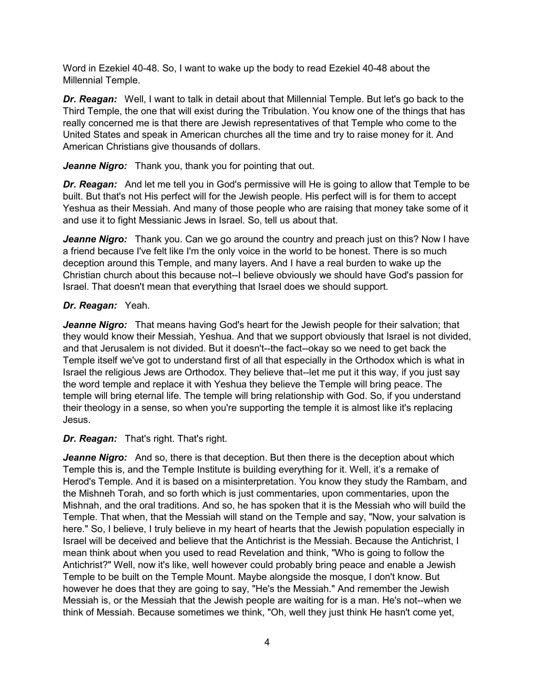Word in Ezekiel 40-48. So, I want to wake up the body to read Ezekiel 40-48 about the Millennial Temple.

*Dr. Reagan:* Well, I want to talk in detail about that Millennial Temple. But let's go back to the Third Temple, the one that will exist during the Tribulation. You know one of the things that has really concerned me is that there are Jewish representatives of that Temple who come to the United States and speak in American churches all the time and try to raise money for it. And American Christians give thousands of dollars.

*Jeanne Nigro:* Thank you, thank you for pointing that out.

*Dr. Reagan:* And let me tell you in God's permissive will He is going to allow that Temple to be built. But that's not His perfect will for the Jewish people. His perfect will is for them to accept Yeshua as their Messiah. And many of those people who are raising that money take some of it and use it to fight Messianic Jews in Israel. So, tell us about that.

*Jeanne Nigro:* Thank you. Can we go around the country and preach just on this? Now I have a friend because I've felt like I'm the only voice in the world to be honest. There is so much deception around this Temple, and many layers. And I have a real burden to wake up the Christian church about this because not--I believe obviously we should have God's passion for Israel. That doesn't mean that everything that Israel does we should support.

## *Dr. Reagan:* Yeah.

*Jeanne Nigro:* That means having God's heart for the Jewish people for their salvation; that they would know their Messiah, Yeshua. And that we support obviously that Israel is not divided, and that Jerusalem is not divided. But it doesn't--the fact--okay so we need to get back the Temple itself we've got to understand first of all that especially in the Orthodox which is what in Israel the religious Jews are Orthodox. They believe that--let me put it this way, if you just say the word temple and replace it with Yeshua they believe the Temple will bring peace. The temple will bring eternal life. The temple will bring relationship with God. So, if you understand their theology in a sense, so when you're supporting the temple it is almost like it's replacing Jesus.

## *Dr. Reagan:* That's right. That's right.

*Jeanne Nigro:* And so, there is that deception. But then there is the deception about which Temple this is, and the Temple Institute is building everything for it. Well, it's a remake of Herod's Temple. And it is based on a misinterpretation. You know they study the Rambam, and the Mishneh Torah, and so forth which is just commentaries, upon commentaries, upon the Mishnah, and the oral traditions. And so, he has spoken that it is the Messiah who will build the Temple. That when, that the Messiah will stand on the Temple and say, "Now, your salvation is here." So, I believe, I truly believe in my heart of hearts that the Jewish population especially in Israel will be deceived and believe that the Antichrist is the Messiah. Because the Antichrist, I mean think about when you used to read Revelation and think, "Who is going to follow the Antichrist?" Well, now it's like, well however could probably bring peace and enable a Jewish Temple to be built on the Temple Mount. Maybe alongside the mosque, I don't know. But however he does that they are going to say, "He's the Messiah." And remember the Jewish Messiah is, or the Messiah that the Jewish people are waiting for is a man. He's not--when we think of Messiah. Because sometimes we think, "Oh, well they just think He hasn't come yet,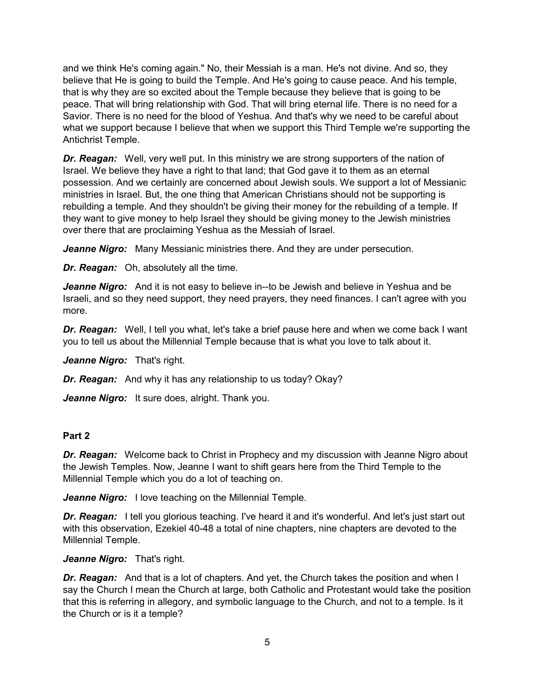and we think He's coming again." No, their Messiah is a man. He's not divine. And so, they believe that He is going to build the Temple. And He's going to cause peace. And his temple, that is why they are so excited about the Temple because they believe that is going to be peace. That will bring relationship with God. That will bring eternal life. There is no need for a Savior. There is no need for the blood of Yeshua. And that's why we need to be careful about what we support because I believe that when we support this Third Temple we're supporting the Antichrist Temple.

*Dr. Reagan:* Well, very well put. In this ministry we are strong supporters of the nation of Israel. We believe they have a right to that land; that God gave it to them as an eternal possession. And we certainly are concerned about Jewish souls. We support a lot of Messianic ministries in Israel. But, the one thing that American Christians should not be supporting is rebuilding a temple. And they shouldn't be giving their money for the rebuilding of a temple. If they want to give money to help Israel they should be giving money to the Jewish ministries over there that are proclaiming Yeshua as the Messiah of Israel.

**Jeanne Nigro:** Many Messianic ministries there. And they are under persecution.

*Dr. Reagan:* Oh, absolutely all the time.

*Jeanne Nigro:* And it is not easy to believe in--to be Jewish and believe in Yeshua and be Israeli, and so they need support, they need prayers, they need finances. I can't agree with you more.

*Dr. Reagan:* Well, I tell you what, let's take a brief pause here and when we come back I want you to tell us about the Millennial Temple because that is what you love to talk about it.

*Jeanne Nigro:* That's right.

*Dr. Reagan:* And why it has any relationship to us today? Okay?

*Jeanne Nigro:* It sure does, alright. Thank you.

#### **Part 2**

*Dr. Reagan:* Welcome back to Christ in Prophecy and my discussion with Jeanne Nigro about the Jewish Temples. Now, Jeanne I want to shift gears here from the Third Temple to the Millennial Temple which you do a lot of teaching on.

*Jeanne Nigro:* I love teaching on the Millennial Temple.

*Dr. Reagan:* I tell you glorious teaching. I've heard it and it's wonderful. And let's just start out with this observation, Ezekiel 40-48 a total of nine chapters, nine chapters are devoted to the Millennial Temple.

*Jeanne Nigro:* That's right.

*Dr. Reagan:* And that is a lot of chapters. And yet, the Church takes the position and when I say the Church I mean the Church at large, both Catholic and Protestant would take the position that this is referring in allegory, and symbolic language to the Church, and not to a temple. Is it the Church or is it a temple?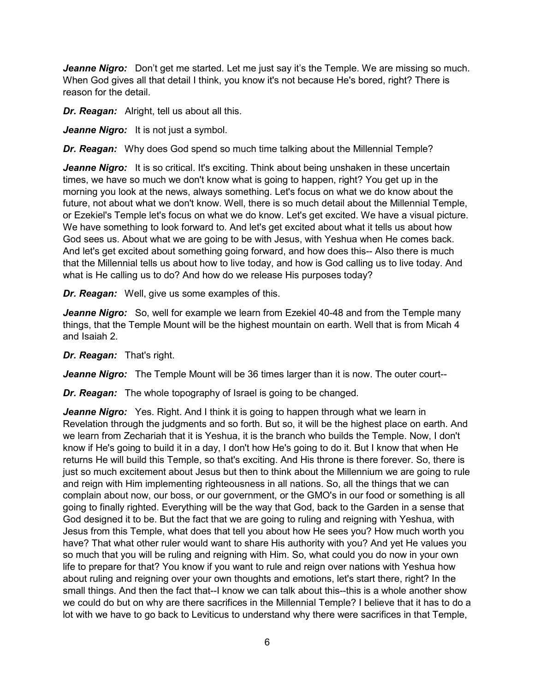*Jeanne Nigro:* Don't get me started. Let me just say it's the Temple. We are missing so much. When God gives all that detail I think, you know it's not because He's bored, right? There is reason for the detail.

*Dr. Reagan:* Alright, tell us about all this.

*Jeanne Nigro:* It is not just a symbol.

*Dr. Reagan:* Why does God spend so much time talking about the Millennial Temple?

**Jeanne Nigro:** It is so critical. It's exciting. Think about being unshaken in these uncertain times, we have so much we don't know what is going to happen, right? You get up in the morning you look at the news, always something. Let's focus on what we do know about the future, not about what we don't know. Well, there is so much detail about the Millennial Temple, or Ezekiel's Temple let's focus on what we do know. Let's get excited. We have a visual picture. We have something to look forward to. And let's get excited about what it tells us about how God sees us. About what we are going to be with Jesus, with Yeshua when He comes back. And let's get excited about something going forward, and how does this-- Also there is much that the Millennial tells us about how to live today, and how is God calling us to live today. And what is He calling us to do? And how do we release His purposes today?

*Dr. Reagan:* Well, give us some examples of this.

*Jeanne Nigro:* So, well for example we learn from Ezekiel 40-48 and from the Temple many things, that the Temple Mount will be the highest mountain on earth. Well that is from Micah 4 and Isaiah 2.

*Dr. Reagan:* That's right.

*Jeanne Nigro:* The Temple Mount will be 36 times larger than it is now. The outer court--

*Dr. Reagan:* The whole topography of Israel is going to be changed.

**Jeanne Nigro:** Yes. Right. And I think it is going to happen through what we learn in Revelation through the judgments and so forth. But so, it will be the highest place on earth. And we learn from Zechariah that it is Yeshua, it is the branch who builds the Temple. Now, I don't know if He's going to build it in a day, I don't how He's going to do it. But I know that when He returns He will build this Temple, so that's exciting. And His throne is there forever. So, there is just so much excitement about Jesus but then to think about the Millennium we are going to rule and reign with Him implementing righteousness in all nations. So, all the things that we can complain about now, our boss, or our government, or the GMO's in our food or something is all going to finally righted. Everything will be the way that God, back to the Garden in a sense that God designed it to be. But the fact that we are going to ruling and reigning with Yeshua, with Jesus from this Temple, what does that tell you about how He sees you? How much worth you have? That what other ruler would want to share His authority with you? And yet He values you so much that you will be ruling and reigning with Him. So, what could you do now in your own life to prepare for that? You know if you want to rule and reign over nations with Yeshua how about ruling and reigning over your own thoughts and emotions, let's start there, right? In the small things. And then the fact that--I know we can talk about this--this is a whole another show we could do but on why are there sacrifices in the Millennial Temple? I believe that it has to do a lot with we have to go back to Leviticus to understand why there were sacrifices in that Temple,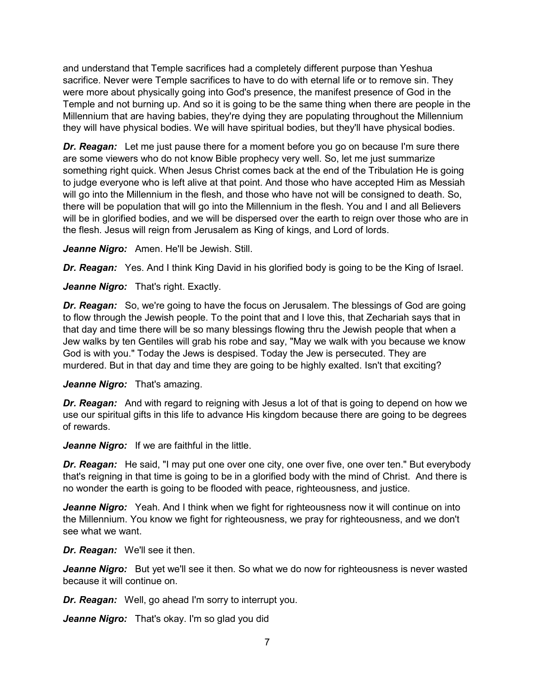and understand that Temple sacrifices had a completely different purpose than Yeshua sacrifice. Never were Temple sacrifices to have to do with eternal life or to remove sin. They were more about physically going into God's presence, the manifest presence of God in the Temple and not burning up. And so it is going to be the same thing when there are people in the Millennium that are having babies, they're dying they are populating throughout the Millennium they will have physical bodies. We will have spiritual bodies, but they'll have physical bodies.

*Dr. Reagan:* Let me just pause there for a moment before you go on because I'm sure there are some viewers who do not know Bible prophecy very well. So, let me just summarize something right quick. When Jesus Christ comes back at the end of the Tribulation He is going to judge everyone who is left alive at that point. And those who have accepted Him as Messiah will go into the Millennium in the flesh, and those who have not will be consigned to death. So, there will be population that will go into the Millennium in the flesh. You and I and all Believers will be in glorified bodies, and we will be dispersed over the earth to reign over those who are in the flesh. Jesus will reign from Jerusalem as King of kings, and Lord of lords.

*Jeanne Nigro:* Amen. He'll be Jewish. Still.

**Dr. Reagan:** Yes. And I think King David in his glorified body is going to be the King of Israel.

*Jeanne Nigro:* That's right. Exactly.

*Dr. Reagan:* So, we're going to have the focus on Jerusalem. The blessings of God are going to flow through the Jewish people. To the point that and I love this, that Zechariah says that in that day and time there will be so many blessings flowing thru the Jewish people that when a Jew walks by ten Gentiles will grab his robe and say, "May we walk with you because we know God is with you." Today the Jews is despised. Today the Jew is persecuted. They are murdered. But in that day and time they are going to be highly exalted. Isn't that exciting?

*Jeanne Nigro:* That's amazing.

**Dr. Reagan:** And with regard to reigning with Jesus a lot of that is going to depend on how we use our spiritual gifts in this life to advance His kingdom because there are going to be degrees of rewards.

*Jeanne Nigro:* If we are faithful in the little.

*Dr. Reagan:* He said, "I may put one over one city, one over five, one over ten." But everybody that's reigning in that time is going to be in a glorified body with the mind of Christ. And there is no wonder the earth is going to be flooded with peace, righteousness, and justice.

*Jeanne Nigro:* Yeah. And I think when we fight for righteousness now it will continue on into the Millennium. You know we fight for righteousness, we pray for righteousness, and we don't see what we want.

*Dr. Reagan:* We'll see it then.

*Jeanne Nigro:* But yet we'll see it then. So what we do now for righteousness is never wasted because it will continue on.

*Dr. Reagan:* Well, go ahead I'm sorry to interrupt you.

*Jeanne Nigro:* That's okay. I'm so glad you did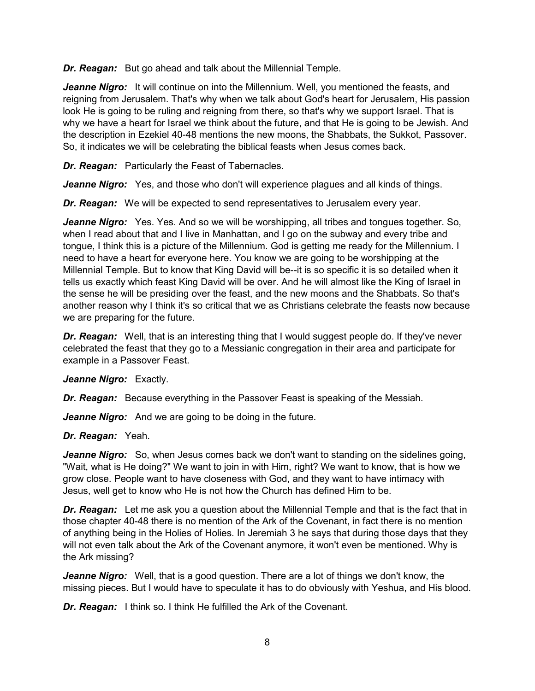**Dr. Reagan:** But go ahead and talk about the Millennial Temple.

*Jeanne Nigro:* It will continue on into the Millennium. Well, you mentioned the feasts, and reigning from Jerusalem. That's why when we talk about God's heart for Jerusalem, His passion look He is going to be ruling and reigning from there, so that's why we support Israel. That is why we have a heart for Israel we think about the future, and that He is going to be Jewish. And the description in Ezekiel 40-48 mentions the new moons, the Shabbats, the Sukkot, Passover. So, it indicates we will be celebrating the biblical feasts when Jesus comes back.

*Dr. Reagan:* Particularly the Feast of Tabernacles.

*Jeanne Nigro:* Yes, and those who don't will experience plagues and all kinds of things.

*Dr. Reagan:* We will be expected to send representatives to Jerusalem every year.

*Jeanne Nigro:* Yes. Yes. And so we will be worshipping, all tribes and tongues together. So, when I read about that and I live in Manhattan, and I go on the subway and every tribe and tongue, I think this is a picture of the Millennium. God is getting me ready for the Millennium. I need to have a heart for everyone here. You know we are going to be worshipping at the Millennial Temple. But to know that King David will be--it is so specific it is so detailed when it tells us exactly which feast King David will be over. And he will almost like the King of Israel in the sense he will be presiding over the feast, and the new moons and the Shabbats. So that's another reason why I think it's so critical that we as Christians celebrate the feasts now because we are preparing for the future.

*Dr. Reagan:* Well, that is an interesting thing that I would suggest people do. If they've never celebrated the feast that they go to a Messianic congregation in their area and participate for example in a Passover Feast.

*Jeanne Nigro:* Exactly.

*Dr. Reagan:* Because everything in the Passover Feast is speaking of the Messiah.

*Jeanne Nigro:* And we are going to be doing in the future.

*Dr. Reagan:* Yeah.

*Jeanne Nigro:* So, when Jesus comes back we don't want to standing on the sidelines going, "Wait, what is He doing?" We want to join in with Him, right? We want to know, that is how we grow close. People want to have closeness with God, and they want to have intimacy with Jesus, well get to know who He is not how the Church has defined Him to be.

*Dr. Reagan:* Let me ask you a question about the Millennial Temple and that is the fact that in those chapter 40-48 there is no mention of the Ark of the Covenant, in fact there is no mention of anything being in the Holies of Holies. In Jeremiah 3 he says that during those days that they will not even talk about the Ark of the Covenant anymore, it won't even be mentioned. Why is the Ark missing?

*Jeanne Nigro:* Well, that is a good question. There are a lot of things we don't know, the missing pieces. But I would have to speculate it has to do obviously with Yeshua, and His blood.

**Dr. Reagan:** I think so. I think He fulfilled the Ark of the Covenant.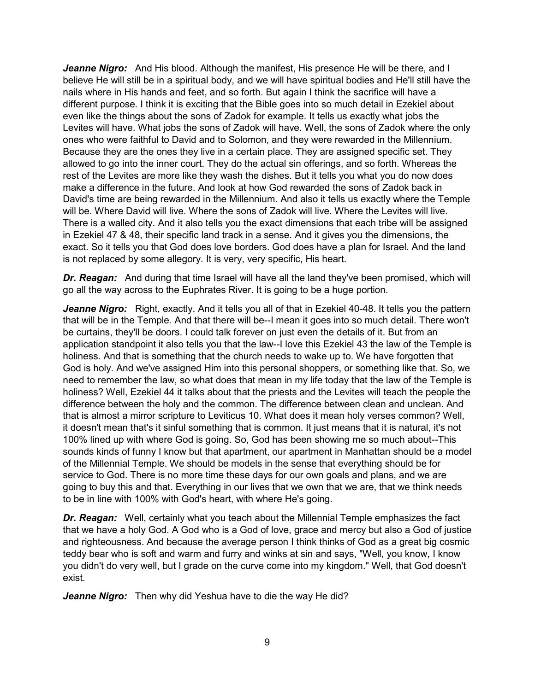*Jeanne Nigro:* And His blood. Although the manifest, His presence He will be there, and I believe He will still be in a spiritual body, and we will have spiritual bodies and He'll still have the nails where in His hands and feet, and so forth. But again I think the sacrifice will have a different purpose. I think it is exciting that the Bible goes into so much detail in Ezekiel about even like the things about the sons of Zadok for example. It tells us exactly what jobs the Levites will have. What jobs the sons of Zadok will have. Well, the sons of Zadok where the only ones who were faithful to David and to Solomon, and they were rewarded in the Millennium. Because they are the ones they live in a certain place. They are assigned specific set. They allowed to go into the inner court. They do the actual sin offerings, and so forth. Whereas the rest of the Levites are more like they wash the dishes. But it tells you what you do now does make a difference in the future. And look at how God rewarded the sons of Zadok back in David's time are being rewarded in the Millennium. And also it tells us exactly where the Temple will be. Where David will live. Where the sons of Zadok will live. Where the Levites will live. There is a walled city. And it also tells you the exact dimensions that each tribe will be assigned in Ezekiel 47 & 48, their specific land track in a sense. And it gives you the dimensions, the exact. So it tells you that God does love borders. God does have a plan for Israel. And the land is not replaced by some allegory. It is very, very specific, His heart.

*Dr. Reagan:* And during that time Israel will have all the land they've been promised, which will go all the way across to the Euphrates River. It is going to be a huge portion.

*Jeanne Nigro:* Right, exactly. And it tells you all of that in Ezekiel 40-48. It tells you the pattern that will be in the Temple. And that there will be--I mean it goes into so much detail. There won't be curtains, they'll be doors. I could talk forever on just even the details of it. But from an application standpoint it also tells you that the law--I love this Ezekiel 43 the law of the Temple is holiness. And that is something that the church needs to wake up to. We have forgotten that God is holy. And we've assigned Him into this personal shoppers, or something like that. So, we need to remember the law, so what does that mean in my life today that the law of the Temple is holiness? Well, Ezekiel 44 it talks about that the priests and the Levites will teach the people the difference between the holy and the common. The difference between clean and unclean. And that is almost a mirror scripture to Leviticus 10. What does it mean holy verses common? Well, it doesn't mean that's it sinful something that is common. It just means that it is natural, it's not 100% lined up with where God is going. So, God has been showing me so much about--This sounds kinds of funny I know but that apartment, our apartment in Manhattan should be a model of the Millennial Temple. We should be models in the sense that everything should be for service to God. There is no more time these days for our own goals and plans, and we are going to buy this and that. Everything in our lives that we own that we are, that we think needs to be in line with 100% with God's heart, with where He's going.

**Dr. Reagan:** Well, certainly what you teach about the Millennial Temple emphasizes the fact that we have a holy God. A God who is a God of love, grace and mercy but also a God of justice and righteousness. And because the average person I think thinks of God as a great big cosmic teddy bear who is soft and warm and furry and winks at sin and says, "Well, you know, I know you didn't do very well, but I grade on the curve come into my kingdom." Well, that God doesn't exist.

*Jeanne Nigro:* Then why did Yeshua have to die the way He did?